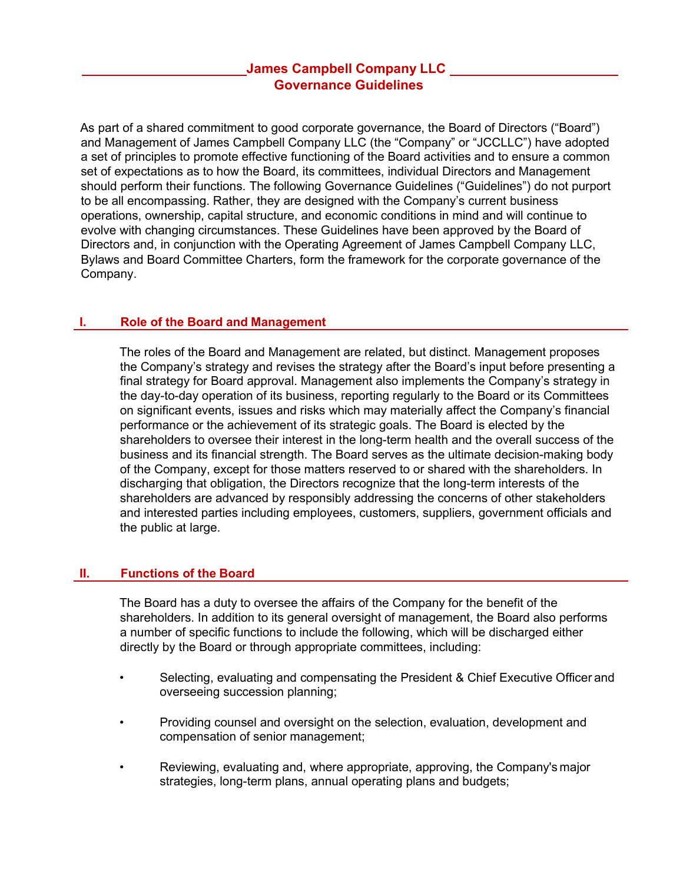# **James Campbell Company LLC Governance Guidelines**

As part of a shared commitment to good corporate governance, the Board of Directors ("Board") and Management of James Campbell Company LLC (the "Company" or "JCCLLC") have adopted a set of principles to promote effective functioning of the Board activities and to ensure a common set of expectations as to how the Board, its committees, individual Directors and Management should perform their functions. The following Governance Guidelines ("Guidelines") do not purport to be all encompassing. Rather, they are designed with the Company's current business operations, ownership, capital structure, and economic conditions in mind and will continue to evolve with changing circumstances. These Guidelines have been approved by the Board of Directors and, in conjunction with the Operating Agreement of James Campbell Company LLC, Bylaws and Board Committee Charters, form the framework for the corporate governance of the Company.

# **I. Role of the Board and Management**

The roles of the Board and Management are related, but distinct. Management proposes the Company's strategy and revises the strategy after the Board's input before presenting a final strategy for Board approval. Management also implements the Company's strategy in the day-to-day operation of its business, reporting regularly to the Board or its Committees on significant events, issues and risks which may materially affect the Company's financial performance or the achievement of its strategic goals. The Board is elected by the shareholders to oversee their interest in the long-term health and the overall success of the business and its financial strength. The Board serves as the ultimate decision-making body of the Company, except for those matters reserved to or shared with the shareholders. In discharging that obligation, the Directors recognize that the long-term interests of the shareholders are advanced by responsibly addressing the concerns of other stakeholders and interested parties including employees, customers, suppliers, government officials and the public at large.

### **II. Functions of the Board**

The Board has a duty to oversee the affairs of the Company for the benefit of the shareholders. In addition to its general oversight of management, the Board also performs a number of specific functions to include the following, which will be discharged either directly by the Board or through appropriate committees, including:

- Selecting, evaluating and compensating the President & Chief Executive Officer and overseeing succession planning;
- Providing counsel and oversight on the selection, evaluation, development and compensation of senior management;
- Reviewing, evaluating and, where appropriate, approving, the Company's major strategies, long-term plans, annual operating plans and budgets;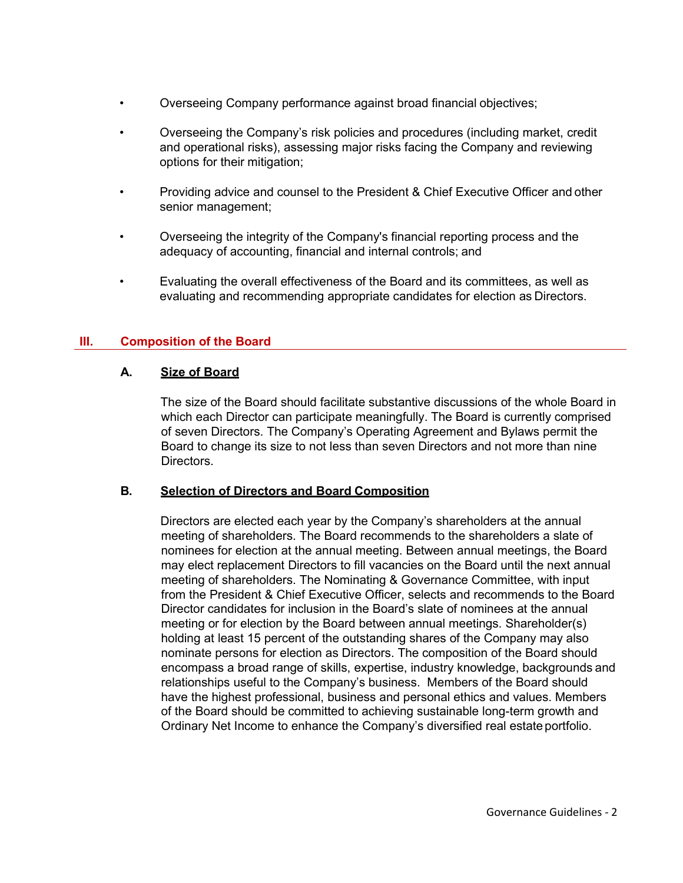- Overseeing Company performance against broad financial objectives;
- Overseeing the Company's risk policies and procedures (including market, credit and operational risks), assessing major risks facing the Company and reviewing options for their mitigation;
- Providing advice and counsel to the President & Chief Executive Officer and other senior management;
- Overseeing the integrity of the Company's financial reporting process and the adequacy of accounting, financial and internal controls; and
- Evaluating the overall effectiveness of the Board and its committees, as well as evaluating and recommending appropriate candidates for election as Directors.

### **III. Composition of the Board**

# **A. Size of Board**

The size of the Board should facilitate substantive discussions of the whole Board in which each Director can participate meaningfully. The Board is currently comprised of seven Directors. The Company's Operating Agreement and Bylaws permit the Board to change its size to not less than seven Directors and not more than nine Directors.

### **B. Selection of Directors and Board Composition**

Directors are elected each year by the Company's shareholders at the annual meeting of shareholders. The Board recommends to the shareholders a slate of nominees for election at the annual meeting. Between annual meetings, the Board may elect replacement Directors to fill vacancies on the Board until the next annual meeting of shareholders. The Nominating & Governance Committee, with input from the President & Chief Executive Officer, selects and recommends to the Board Director candidates for inclusion in the Board's slate of nominees at the annual meeting or for election by the Board between annual meetings. Shareholder(s) holding at least 15 percent of the outstanding shares of the Company may also nominate persons for election as Directors. The composition of the Board should encompass a broad range of skills, expertise, industry knowledge, backgrounds and relationships useful to the Company's business. Members of the Board should have the highest professional, business and personal ethics and values. Members of the Board should be committed to achieving sustainable long-term growth and Ordinary Net Income to enhance the Company's diversified real estate portfolio.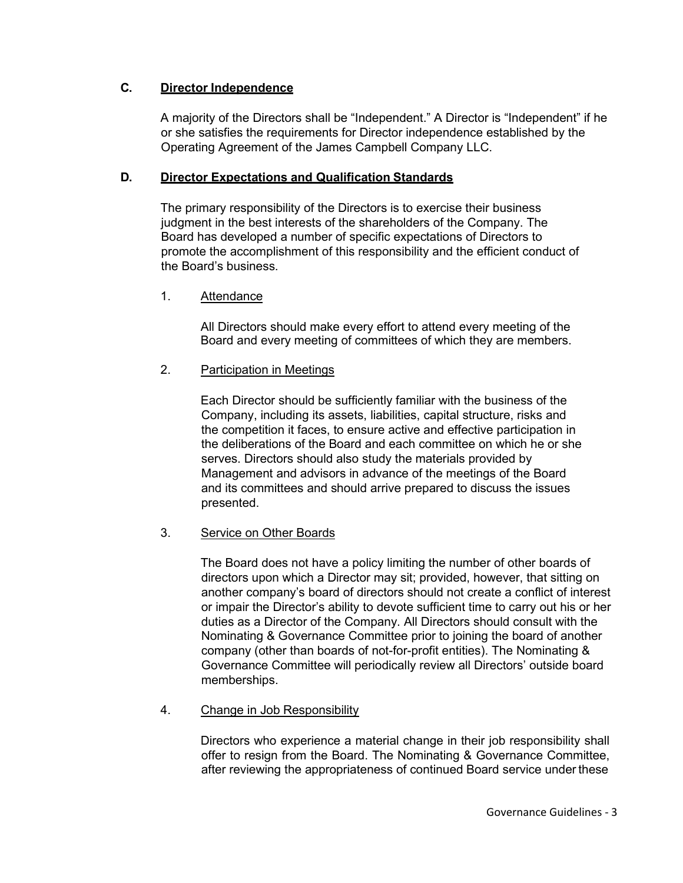# **C. Director Independence**

A majority of the Directors shall be "Independent." A Director is "Independent" if he or she satisfies the requirements for Director independence established by the Operating Agreement of the James Campbell Company LLC.

# **D. Director Expectations and Qualification Standards**

The primary responsibility of the Directors is to exercise their business judgment in the best interests of the shareholders of the Company. The Board has developed a number of specific expectations of Directors to promote the accomplishment of this responsibility and the efficient conduct of the Board's business.

# 1. Attendance

All Directors should make every effort to attend every meeting of the Board and every meeting of committees of which they are members.

### 2. Participation in Meetings

Each Director should be sufficiently familiar with the business of the Company, including its assets, liabilities, capital structure, risks and the competition it faces, to ensure active and effective participation in the deliberations of the Board and each committee on which he or she serves. Directors should also study the materials provided by Management and advisors in advance of the meetings of the Board and its committees and should arrive prepared to discuss the issues presented.

### 3. Service on Other Boards

The Board does not have a policy limiting the number of other boards of directors upon which a Director may sit; provided, however, that sitting on another company's board of directors should not create a conflict of interest or impair the Director's ability to devote sufficient time to carry out his or her duties as a Director of the Company. All Directors should consult with the Nominating & Governance Committee prior to joining the board of another company (other than boards of not-for-profit entities). The Nominating & Governance Committee will periodically review all Directors' outside board memberships.

### 4. Change in Job Responsibility

Directors who experience a material change in their job responsibility shall offer to resign from the Board. The Nominating & Governance Committee, after reviewing the appropriateness of continued Board service under these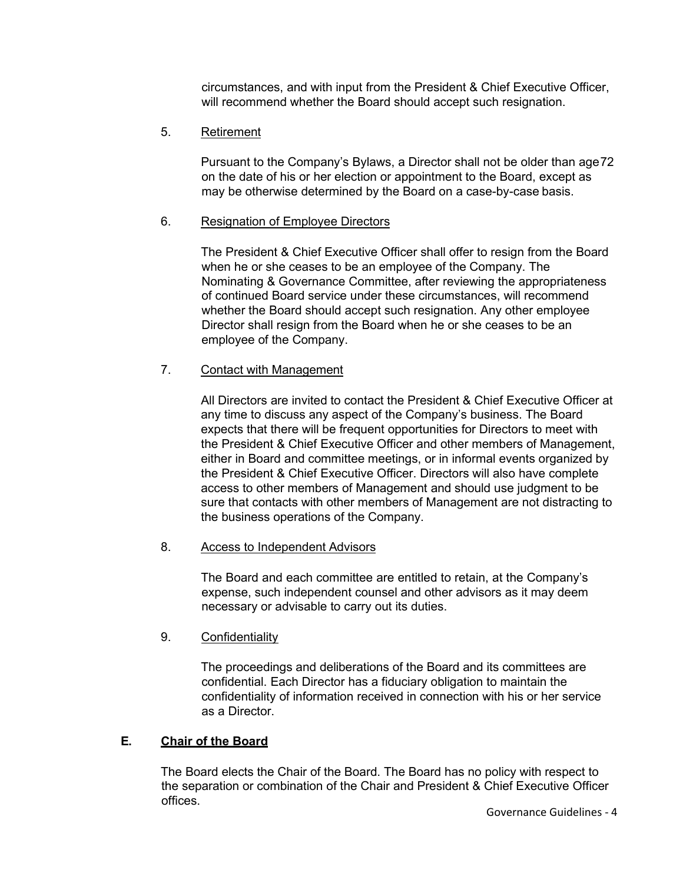circumstances, and with input from the President & Chief Executive Officer, will recommend whether the Board should accept such resignation.

# 5. Retirement

Pursuant to the Company's Bylaws, a Director shall not be older than age72 on the date of his or her election or appointment to the Board, except as may be otherwise determined by the Board on a case-by-case basis.

### 6. Resignation of Employee Directors

The President & Chief Executive Officer shall offer to resign from the Board when he or she ceases to be an employee of the Company. The Nominating & Governance Committee, after reviewing the appropriateness of continued Board service under these circumstances, will recommend whether the Board should accept such resignation. Any other employee Director shall resign from the Board when he or she ceases to be an employee of the Company.

# 7. Contact with Management

All Directors are invited to contact the President & Chief Executive Officer at any time to discuss any aspect of the Company's business. The Board expects that there will be frequent opportunities for Directors to meet with the President & Chief Executive Officer and other members of Management, either in Board and committee meetings, or in informal events organized by the President & Chief Executive Officer. Directors will also have complete access to other members of Management and should use judgment to be sure that contacts with other members of Management are not distracting to the business operations of the Company.

### 8. Access to Independent Advisors

The Board and each committee are entitled to retain, at the Company's expense, such independent counsel and other advisors as it may deem necessary or advisable to carry out its duties.

### 9. Confidentiality

The proceedings and deliberations of the Board and its committees are confidential. Each Director has a fiduciary obligation to maintain the confidentiality of information received in connection with his or her service as a Director.

### **E. Chair of the Board**

The Board elects the Chair of the Board. The Board has no policy with respect to the separation or combination of the Chair and President & Chief Executive Officer offices.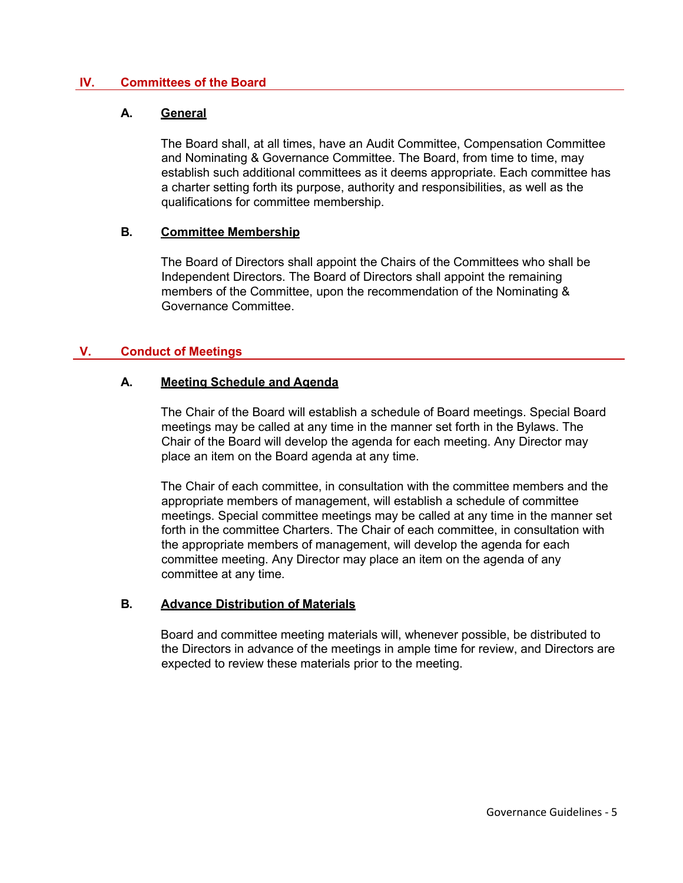### **IV. Committees of the Board**

#### **A. General**

The Board shall, at all times, have an Audit Committee, Compensation Committee and Nominating & Governance Committee. The Board, from time to time, may establish such additional committees as it deems appropriate. Each committee has a charter setting forth its purpose, authority and responsibilities, as well as the qualifications for committee membership.

#### **B. Committee Membership**

The Board of Directors shall appoint the Chairs of the Committees who shall be Independent Directors. The Board of Directors shall appoint the remaining members of the Committee, upon the recommendation of the Nominating & Governance Committee.

### **V. Conduct of Meetings**

#### **A. Meeting Schedule and Agenda**

The Chair of the Board will establish a schedule of Board meetings. Special Board meetings may be called at any time in the manner set forth in the Bylaws. The Chair of the Board will develop the agenda for each meeting. Any Director may place an item on the Board agenda at any time.

The Chair of each committee, in consultation with the committee members and the appropriate members of management, will establish a schedule of committee meetings. Special committee meetings may be called at any time in the manner set forth in the committee Charters. The Chair of each committee, in consultation with the appropriate members of management, will develop the agenda for each committee meeting. Any Director may place an item on the agenda of any committee at any time.

### **B. Advance Distribution of Materials**

Board and committee meeting materials will, whenever possible, be distributed to the Directors in advance of the meetings in ample time for review, and Directors are expected to review these materials prior to the meeting.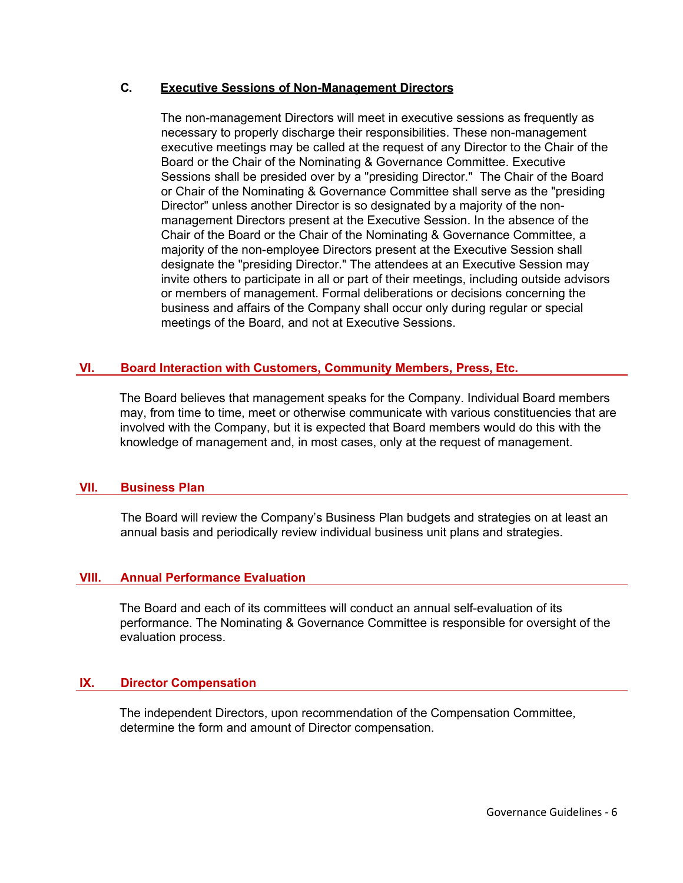### **C. Executive Sessions of Non-Management Directors**

The non-management Directors will meet in executive sessions as frequently as necessary to properly discharge their responsibilities. These non-management executive meetings may be called at the request of any Director to the Chair of the Board or the Chair of the Nominating & Governance Committee. Executive Sessions shall be presided over by a "presiding Director." The Chair of the Board or Chair of the Nominating & Governance Committee shall serve as the "presiding Director" unless another Director is so designated by a majority of the nonmanagement Directors present at the Executive Session. In the absence of the Chair of the Board or the Chair of the Nominating & Governance Committee, a majority of the non-employee Directors present at the Executive Session shall designate the "presiding Director." The attendees at an Executive Session may invite others to participate in all or part of their meetings, including outside advisors or members of management. Formal deliberations or decisions concerning the business and affairs of the Company shall occur only during regular or special meetings of the Board, and not at Executive Sessions.

### **VI. Board Interaction with Customers, Community Members, Press, Etc.**

The Board believes that management speaks for the Company. Individual Board members may, from time to time, meet or otherwise communicate with various constituencies that are involved with the Company, but it is expected that Board members would do this with the knowledge of management and, in most cases, only at the request of management.

#### **VII. Business Plan**

The Board will review the Company's Business Plan budgets and strategies on at least an annual basis and periodically review individual business unit plans and strategies.

### **VIII. Annual Performance Evaluation**

The Board and each of its committees will conduct an annual self-evaluation of its performance. The Nominating & Governance Committee is responsible for oversight of the evaluation process.

### **IX. Director Compensation**

The independent Directors, upon recommendation of the Compensation Committee, determine the form and amount of Director compensation.